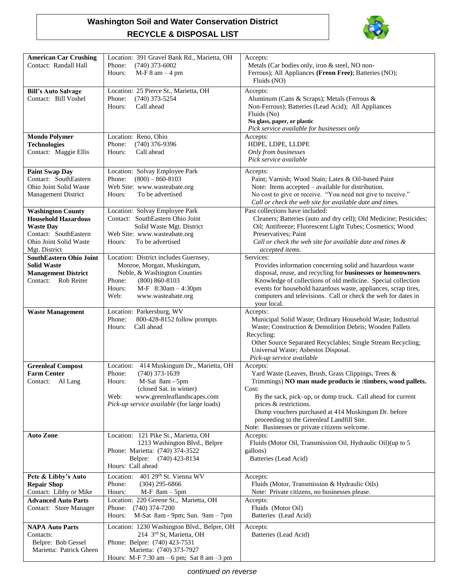## **Washington Soil and Water Conservation District RECYCLE & DISPOSAL LIST**



| <b>American Car Crushing</b><br>Contact: Randall Hall                                                                                          | Location: 391 Gravel Bank Rd., Marietta, OH<br>$(740)$ 373-6002<br>Phone:<br>$M-F 8$ am $-4$ pm<br>Hours:                                                                                                                | Accepts:<br>Metals (Car bodies only, iron & steel, NO non-<br>Ferrous); All Appliances (Freon Free); Batteries (NO);<br>Fluids (NO)                                                                                                                                                                                                                                                    |
|------------------------------------------------------------------------------------------------------------------------------------------------|--------------------------------------------------------------------------------------------------------------------------------------------------------------------------------------------------------------------------|----------------------------------------------------------------------------------------------------------------------------------------------------------------------------------------------------------------------------------------------------------------------------------------------------------------------------------------------------------------------------------------|
| <b>Bill's Auto Salvage</b><br>Contact: Bill Voshel                                                                                             | Location: 25 Pierce St., Marietta, OH<br>$(740)$ 373-5254<br>Phone:<br>Call ahead<br>Hours:                                                                                                                              | Accepts:<br>Aluminum (Cans & Scraps); Metals (Ferrous &<br>Non-Ferrous); Batteries (Lead Acid); All Appliances<br>Fluids (No)<br>No glass, paper, or plastic<br>Pick service available for businesses only                                                                                                                                                                             |
| <b>Mondo Polymer</b><br><b>Technologies</b><br>Contact: Maggie Ellis                                                                           | Location: Reno, Ohio<br>$(740)$ 376-9396<br>Phone:<br>Call ahead<br>Hours:                                                                                                                                               | Accepts:<br>HDPE, LDPE, LLDPE<br>Only from businesses<br>Pick service available                                                                                                                                                                                                                                                                                                        |
| <b>Paint Swap Day</b><br>Contact: SouthEastern<br>Ohio Joint Solid Waste<br><b>Management District</b>                                         | Location: Solvay Employee Park<br>$(800) - 860 - 8103$<br>Phone:<br>Web Site: www.wasteabate.org<br>To be advertised<br>Hours:                                                                                           | Accepts:<br>Paint; Varnish; Wood Stain; Latex & Oil-based Paint<br>Note: Items accepted – available for distribution.<br>No cost to give or receive. "You need not give to receive."<br>Call or check the web site for available date and times.                                                                                                                                       |
| <b>Washington County</b><br><b>Household Hazardous</b><br><b>Waste Day</b><br>Contact: SouthEastern<br>Ohio Joint Solid Waste<br>Mgt. District | Location: Solvay Employee Park<br>Contact: SouthEastern Ohio Joint<br>Solid Waste Mgt. District<br>Web Site: www.wasteabate.org<br>To be advertised<br>Hours:                                                            | Past collections have included:<br>Cleaners; Batteries (auto and dry cell); Old Medicine; Pesticides;<br>Oil; Antifreeze; Fluorescent Light Tubes; Cosmetics; Wood<br>Preservatives; Paint<br>Call or check the web site for available date and times &<br>accepted items.                                                                                                             |
| <b>SouthEastern Ohio Joint</b><br><b>Solid Waste</b><br><b>Management District</b><br>Contact:<br>Rob Reiter                                   | Location: District includes Guernsey,<br>Monroe, Morgan, Muskingum,<br>Noble, & Washington Counties<br>$(800) 860 - 8103$<br>Phone:<br>M-F 8:30am - 4:30pm<br>Hours:<br>Web:<br>www.wasteabate.org                       | Services:<br>Provides information concerning solid and hazardous waste<br>disposal, reuse, and recycling for businesses or homeowners.<br>Knowledge of collections of old medicine. Special collection<br>events for household hazardous waste, appliances, scrap tires,<br>computers and televisions. Call or check the web for dates in<br>your local.                               |
| <b>Waste Management</b>                                                                                                                        | Location: Parkersburg, WV<br>Phone:<br>800-428-8152 follow prompts<br>Call ahead<br>Hours:                                                                                                                               | Accepts:<br>Municipal Solid Waste; Ordinary Household Waste; Industrial<br>Waste; Construction & Demolition Debris; Wooden Pallets<br>Recycling:<br>Other Source Separated Recyclables; Single Stream Recycling;<br>Universal Waste; Asbestos Disposal.<br>Pick-up service available                                                                                                   |
| <b>Greenleaf Compost</b><br><b>Farm Center</b><br>Contact: Al Lang                                                                             | 414 Muskingum Dr., Marietta, OH<br>Location:<br>Phone:<br>$(740)$ 373-1639<br>M-Sat 8am - 5pm<br>Hours:<br>(closed Sat. in winter)<br>Web:<br>www.greenleaflandscapes.com<br>Pick-up service available (for large loads) | Accepts:<br>Yard Waste (Leaves, Brush, Grass Clippings, Trees &<br>Trimmings) NO man made products ie : timbers, wood pallets.<br>Cost:<br>By the sack, pick–up, or dump truck. Call ahead for current<br>prices & restrictions.<br>Dump vouchers purchased at 414 Muskingum Dr. before<br>proceeding to the Greenleaf Landfill Site.<br>Note: Businesses or private citizens welcome. |
| <b>Auto Zone</b>                                                                                                                               | Location: 121 Pike St., Marietta, OH<br>1213 Washington Blvd., Belpre<br>Phone: Marietta: (740) 374-3522<br>Belpre: (740) 423-8134<br>Hours: Call ahead                                                                  | Accepts:<br>Fluids (Motor Oil, Transmission Oil, Hydraulic Oil) (up to 5<br>gallons)<br>Batteries (Lead Acid)                                                                                                                                                                                                                                                                          |
| Pete & Libby's Auto<br><b>Repair Shop</b><br>Contact: Libby or Mike                                                                            | 401 29th St. Vienna WV<br>Location:<br>Phone:<br>$(304)$ 295-6866<br>$M-F$ 8am - 5pm<br>Hours:                                                                                                                           | Accepts:<br>Fluids (Motor, Transmission & Hydraulic Oils)<br>Note: Private citizens, no businesses please.                                                                                                                                                                                                                                                                             |
| <b>Advanced Auto Parts</b><br>Contact: Store Manager                                                                                           | Location: 220 Greene St., Marietta, OH<br>$(740)$ 374-7200<br>Phone:<br>M-Sat 8am - 9pm; Sun. 9am - 7pm<br>Hours:                                                                                                        | Accepts:<br>Fluids (Motor Oil)<br>Batteries (Lead Acid)                                                                                                                                                                                                                                                                                                                                |
| <b>NAPA Auto Parts</b><br>Contacts:<br>Belpre: Bob Gessel<br>Marietta: Patrick Gheen                                                           | Location: 1230 Washington Blvd., Belpre, OH<br>214 3rd St, Marietta, OH<br>Phone: Belpre: (740) 423-7531<br>Marietta: (740) 373-7927<br>Hours: M-F 7:30 am $-6$ pm; Sat 8 am $-3$ pm                                     | Accepts:<br>Batteries (Lead Acid)                                                                                                                                                                                                                                                                                                                                                      |